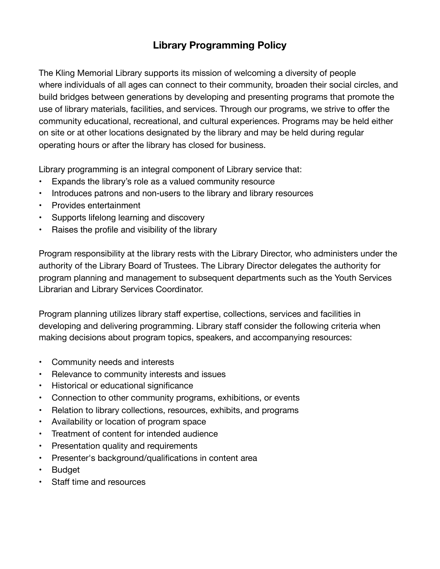## **Library Programming Policy**

The Kling Memorial Library supports its mission of welcoming a diversity of people where individuals of all ages can connect to their community, broaden their social circles, and build bridges between generations by developing and presenting programs that promote the use of library materials, facilities, and services. Through our programs, we strive to offer the community educational, recreational, and cultural experiences. Programs may be held either on site or at other locations designated by the library and may be held during regular operating hours or after the library has closed for business.

Library programming is an integral component of Library service that:

- Expands the library's role as a valued community resource
- Introduces patrons and non-users to the library and library resources
- Provides entertainment
- Supports lifelong learning and discovery
- Raises the profile and visibility of the library

Program responsibility at the library rests with the Library Director, who administers under the authority of the Library Board of Trustees. The Library Director delegates the authority for program planning and management to subsequent departments such as the Youth Services Librarian and Library Services Coordinator.

Program planning utilizes library staff expertise, collections, services and facilities in developing and delivering programming. Library staff consider the following criteria when making decisions about program topics, speakers, and accompanying resources:

- Community needs and interests
- Relevance to community interests and issues
- Historical or educational significance
- Connection to other community programs, exhibitions, or events
- Relation to library collections, resources, exhibits, and programs
- Availability or location of program space
- Treatment of content for intended audience
- Presentation quality and requirements
- Presenter's background/qualifications in content area
- **Budget**
- Staff time and resources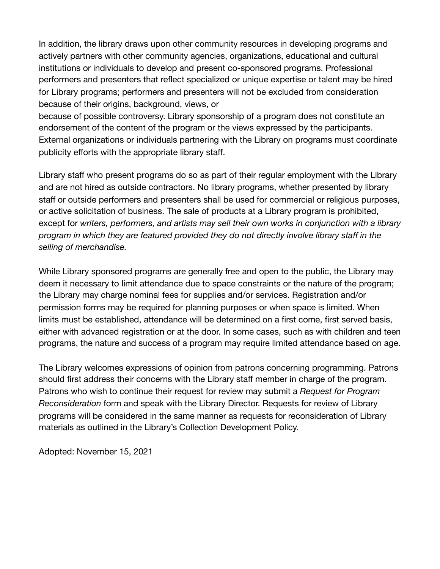In addition, the library draws upon other community resources in developing programs and actively partners with other community agencies, organizations, educational and cultural institutions or individuals to develop and present co-sponsored programs. Professional performers and presenters that reflect specialized or unique expertise or talent may be hired for Library programs; performers and presenters will not be excluded from consideration because of their origins, background, views, or

because of possible controversy. Library sponsorship of a program does not constitute an endorsement of the content of the program or the views expressed by the participants. External organizations or individuals partnering with the Library on programs must coordinate publicity efforts with the appropriate library staff.

Library staff who present programs do so as part of their regular employment with the Library and are not hired as outside contractors. No library programs, whether presented by library staff or outside performers and presenters shall be used for commercial or religious purposes, or active solicitation of business. The sale of products at a Library program is prohibited, except for *writers, performers, and artists may sell their own works in conjunction with a library program in which they are featured provided they do not directly involve library staff in the selling of merchandise.*

While Library sponsored programs are generally free and open to the public, the Library may deem it necessary to limit attendance due to space constraints or the nature of the program; the Library may charge nominal fees for supplies and/or services. Registration and/or permission forms may be required for planning purposes or when space is limited. When limits must be established, attendance will be determined on a first come, first served basis, either with advanced registration or at the door. In some cases, such as with children and teen programs, the nature and success of a program may require limited attendance based on age.

The Library welcomes expressions of opinion from patrons concerning programming. Patrons should first address their concerns with the Library staff member in charge of the program. Patrons who wish to continue their request for review may submit a *Request for Program Reconsideration* form and speak with the Library Director. Requests for review of Library programs will be considered in the same manner as requests for reconsideration of Library materials as outlined in the Library's Collection Development Policy.

Adopted: November 15, 2021